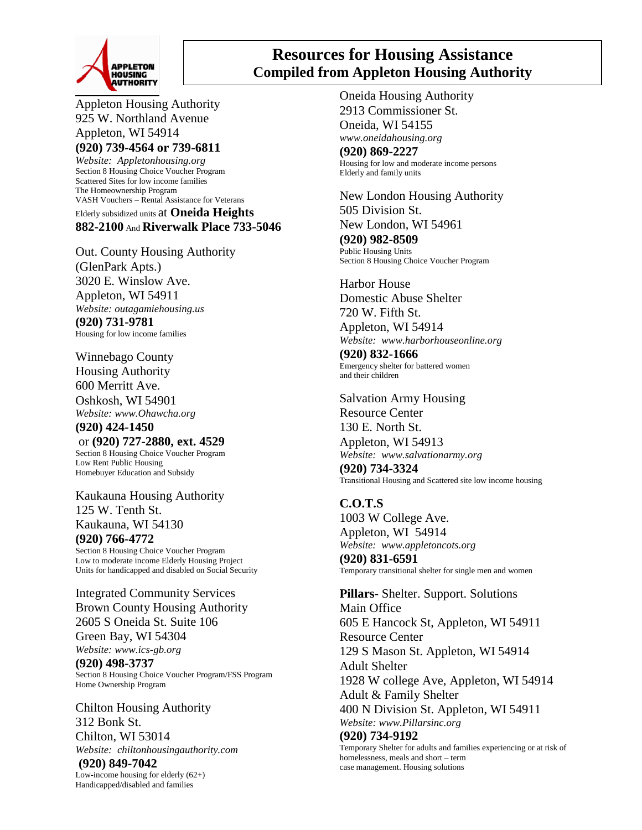

## **Resources for Housing Assistance Compiled from Appleton Housing Authority**

Appleton Housing Authority 925 W. Northland Avenue Appleton, WI 54914 **(920) 739-4564 or 739-6811**

*Website: Appletonhousing.org* Section 8 Housing Choice Voucher Program Scattered Sites for low income families The Homeownership Program VASH Vouchers – Rental Assistance for Veterans Elderly subsidized units at **Oneida Heights 882-2100** And **Riverwalk Place 733-5046**

Out. County Housing Authority (GlenPark Apts.) 3020 E. Winslow Ave. Appleton, WI 54911 *Website: outagamiehousing.us* **(920) 731-9781** Housing for low income families

Winnebago County Housing Authority 600 Merritt Ave.

Oshkosh, WI 54901 *Website: www.Ohawcha.org*

**(920) 424-1450** or **(920) 727-2880, ext. 4529** Section 8 Housing Choice Voucher Program Low Rent Public Housing Homebuyer Education and Subsidy

Kaukauna Housing Authority 125 W. Tenth St. Kaukauna, WI 54130 **(920) 766-4772** Section 8 Housing Choice Voucher Program Low to moderate income Elderly Housing Project Units for handicapped and disabled on Social Security

Integrated Community Services Brown County Housing Authority 2605 S Oneida St. Suite 106 Green Bay, WI 54304 *Website: www.ics-gb.org* **(920) 498-3737**

Section 8 Housing Choice Voucher Program/FSS Program Home Ownership Program

Chilton Housing Authority 312 Bonk St. Chilton, WI 53014 *Website: chiltonhousingauthority.com* **(920) 849-7042**

Low-income housing for elderly (62+) Handicapped/disabled and families

Oneida Housing Authority 2913 Commissioner St. Oneida, WI 54155 *www.oneidahousing.org* **(920) 869-2227** Housing for low and moderate income persons Elderly and family units

New London Housing Authority 505 Division St. New London, WI 54961

**(920) 982-8509** Public Housing Units Section 8 Housing Choice Voucher Program

Harbor House Domestic Abuse Shelter 720 W. Fifth St.

Appleton, WI 54914 *Website: www.harborhouseonline.org*

**(920) 832-1666** Emergency shelter for battered women and their children

Salvation Army Housing Resource Center 130 E. North St. Appleton, WI 54913 *Website: www.salvationarmy.org*

**(920) 734-3324** Transitional Housing and Scattered site low income housing

**C.O.T.S** 1003 W College Ave. Appleton, WI 54914 *Website: www.appletoncots.org* **(920) 831-6591** Temporary transitional shelter for single men and women

**Pillars**- Shelter. Support. Solutions Main Office 605 E Hancock St, Appleton, WI 54911 Resource Center 129 S Mason St. Appleton, WI 54914 Adult Shelter 1928 W college Ave, Appleton, WI 54914 Adult & Family Shelter 400 N Division St. Appleton, WI 54911 *Website: www.Pillarsinc.org* **(920) 734-9192**

Temporary Shelter for adults and families experiencing or at risk of homelessness, meals and short – term case management. Housing solutions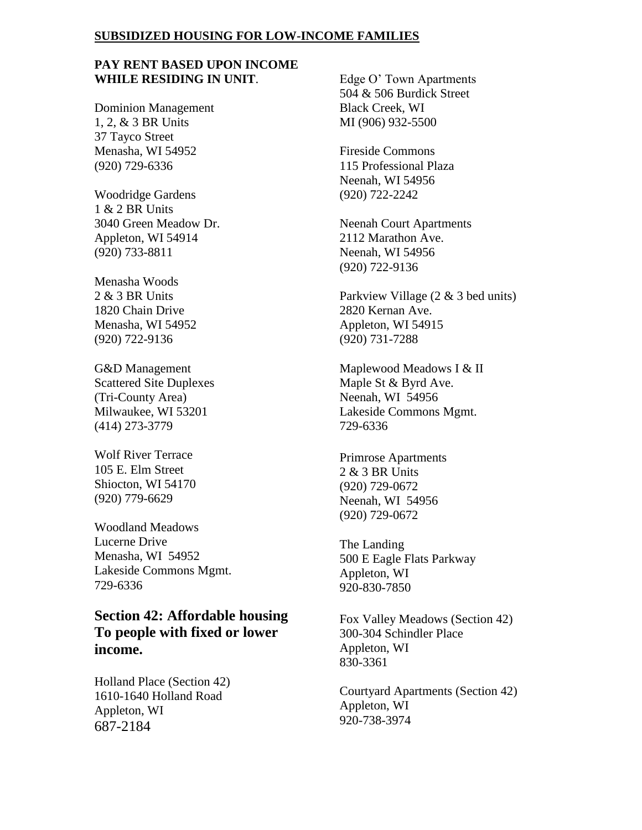### **SUBSIDIZED HOUSING FOR LOW-INCOME FAMILIES**

## **PAY RENT BASED UPON INCOME WHILE RESIDING IN UNIT**.

Dominion Management 1, 2, & 3 BR Units 37 Tayco Street Menasha, WI 54952 (920) 729-6336

Woodridge Gardens 1 & 2 BR Units 3040 Green Meadow Dr. Appleton, WI 54914 (920) 733-8811

Menasha Woods  $2 & 3$  BR Units 1820 Chain Drive Menasha, WI 54952 (920) 722-9136

G&D Management Scattered Site Duplexes (Tri-County Area) Milwaukee, WI 53201 (414) 273-3779

Wolf River Terrace 105 E. Elm Street Shiocton, WI 54170 (920) 779-6629

Woodland Meadows Lucerne Drive Menasha, WI 54952 Lakeside Commons Mgmt. 729-6336

**Section 42: Affordable housing To people with fixed or lower income.**

Holland Place (Section 42) 1610-1640 Holland Road Appleton, WI 687-2184

Edge O' Town Apartments 504 & 506 Burdick Street Black Creek, WI MI (906) 932-5500

Fireside Commons 115 Professional Plaza Neenah, WI 54956 (920) 722-2242

Neenah Court Apartments 2112 Marathon Ave. Neenah, WI 54956 (920) 722-9136

Parkview Village (2 & 3 bed units) 2820 Kernan Ave. Appleton, WI 54915 (920) 731-7288

Maplewood Meadows I & II Maple St & Byrd Ave. Neenah, WI 54956 Lakeside Commons Mgmt. 729-6336

Primrose Apartments 2 & 3 BR Units (920) 729-0672 Neenah, WI 54956 (920) 729-0672

The Landing 500 E Eagle Flats Parkway Appleton, WI 920-830-7850

Fox Valley Meadows (Section 42) 300-304 Schindler Place Appleton, WI 830-3361

Courtyard Apartments (Section 42) Appleton, WI 920-738-3974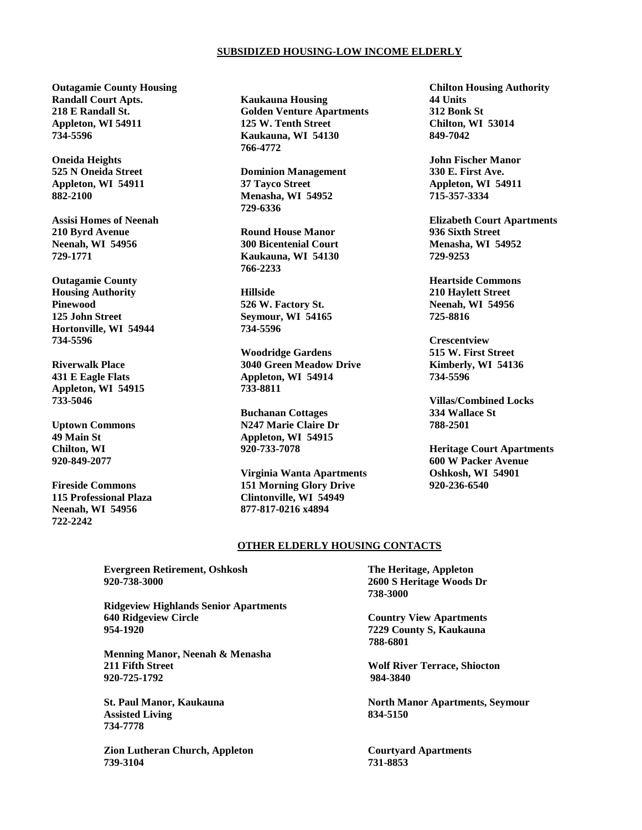#### **SUBSIDIZED HOUSING-LOW INCOME ELDERLY**

**Outagamie County Housing Randall Court Apts. 218 E Randall St. Appleton, WI 54911 734-5596**

**Oneida Heights 525 N Oneida Street Appleton, WI 54911 882-2100**

**Assisi Homes of Neenah 210 Byrd Avenue Neenah, WI 54956 729-1771**

**Outagamie County Housing Authority Pinewood 125 John Street Hortonville, WI 54944 734-5596**

**Riverwalk Place 431 E Eagle Flats Appleton, WI 54915 733-5046** 

**Uptown Commons 49 Main St Chilton, WI 920-849-2077**

**Fireside Commons 115 Professional Plaza Neenah, WI 54956 722-2242** 

**Kaukauna Housing Golden Venture Apartments 125 W. Tenth Street Kaukauna, WI 54130 766-4772**

**Dominion Management 37 Tayco Street Menasha, WI 54952 729-6336**

**Round House Manor 300 Bicentenial Court Kaukauna, WI 54130 766-2233**

**Hillside 526 W. Factory St. Seymour, WI 54165 734-5596**

**Woodridge Gardens 3040 Green Meadow Drive Appleton, WI 54914 733-8811**

**Buchanan Cottages N247 Marie Claire Dr Appleton, WI 54915 920-733-7078**

**Virginia Wanta Apartments 151 Morning Glory Drive Clintonville, WI 54949 877-817-0216 x4894**

**Chilton Housing Authority 44 Units 312 Bonk St Chilton, WI 53014 849-7042**

**John Fischer Manor 330 E. First Ave. Appleton, WI 54911 715-357-3334** 

**Elizabeth Court Apartments 936 Sixth Street Menasha, WI 54952 729-9253**

**Heartside Commons 210 Haylett Street Neenah, WI 54956 725-8816**

**Crescentview 515 W. First Street Kimberly, WI 54136 734-5596**

**Villas/Combined Locks 334 Wallace St 788-2501** 

**Heritage Court Apartments 600 W Packer Avenue Oshkosh, WI 54901 920-236-6540**

#### **OTHER ELDERLY HOUSING CONTACTS**

**Evergreen Retirement, Oshkosh The Heritage, Appleton 920-738-3000 2600 S Heritage Woods Dr**

**Ridgeview Highlands Senior Apartments 640 Ridgeview Circle Country View Apartments 954-1920 7229 County S, Kaukauna**

**Menning Manor, Neenah & Menasha 211 Fifth Street Wolf River Terrace, Shiocton 920-725-1792 984-3840**

**Assisted Living 834-5150 734-7778**

**Zion Lutheran Church, Appleton Courtyard Apartments 739-3104 731-8853**

**738-3000**

 **788-6801**

**St. Paul Manor, Kaukauna North Manor Apartments, Seymour**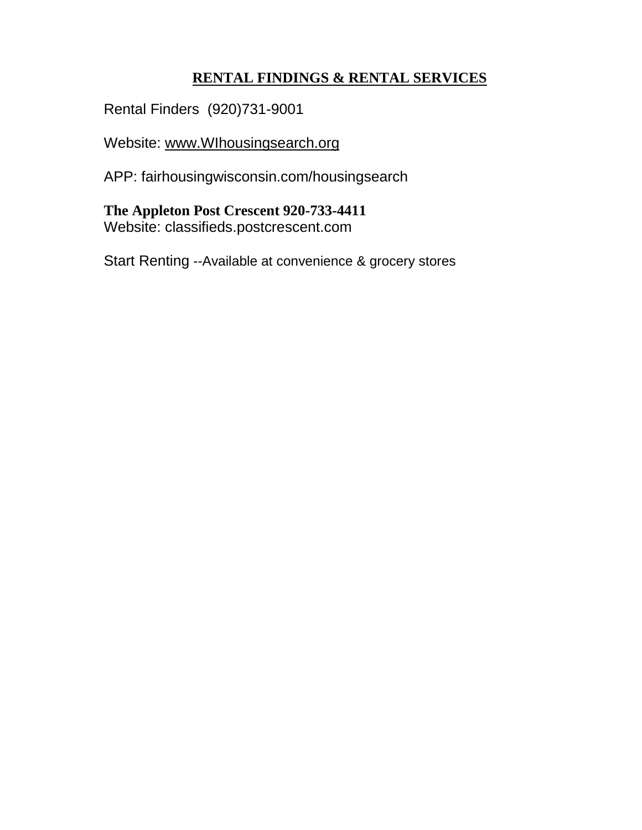# **RENTAL FINDINGS & RENTAL SERVICES**

Rental Finders (920)731-9001

Website: [www.WIhousingsearch.org](http://www.wihousingsearch.org/)

APP: fairhousingwisconsin.com/housingsearch

**The Appleton Post Crescent 920-733-4411** Website: classifieds.postcrescent.com

Start Renting --Available at convenience & grocery stores